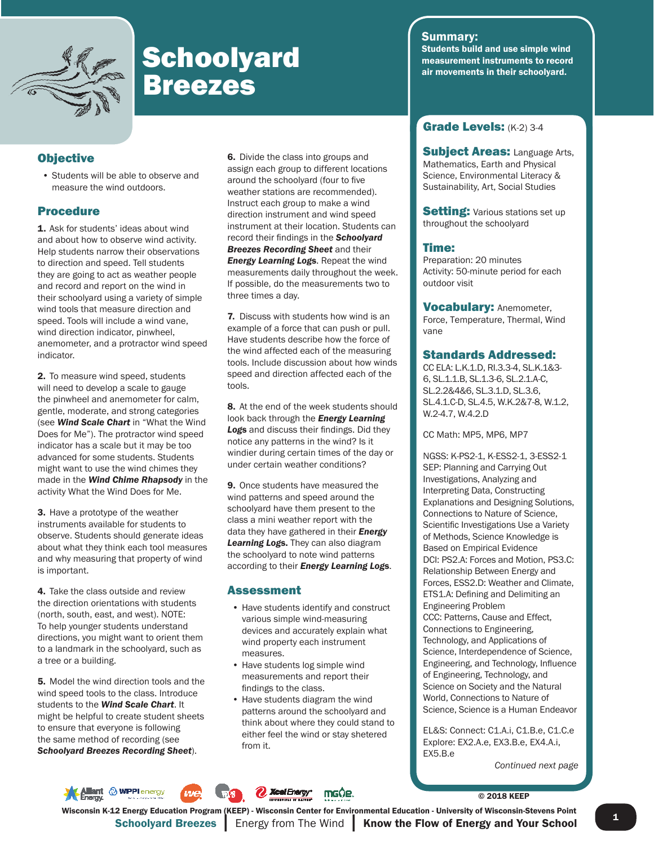

# Schoolyard students build and use simple wind<br>Breezes air movements in their schoolyard.

#### **Objective**

• Students will be able to observe and measure the wind outdoors.

#### Procedure

1. Ask for students' ideas about wind and about how to observe wind activity. Help students narrow their observations to direction and speed. Tell students they are going to act as weather people and record and report on the wind in their schoolyard using a variety of simple wind tools that measure direction and speed. Tools will include a wind vane, wind direction indicator, pinwheel, anemometer, and a protractor wind speed indicator.

2. To measure wind speed, students will need to develop a scale to gauge the pinwheel and anemometer for calm, gentle, moderate, and strong categories (see *Wind Scale Chart* in "What the Wind Does for Me"). The protractor wind speed indicator has a scale but it may be too advanced for some students. Students might want to use the wind chimes they made in the *Wind Chime Rhapsody* in the activity What the Wind Does for Me.

3. Have a prototype of the weather instruments available for students to observe. Students should generate ideas about what they think each tool measures and why measuring that property of wind is important.

4. Take the class outside and review the direction orientations with students (north, south, east, and west). NOTE: To help younger students understand directions, you might want to orient them to a landmark in the schoolyard, such as a tree or a building.

5. Model the wind direction tools and the wind speed tools to the class. Introduce students to the *Wind Scale Chart*. It might be helpful to create student sheets to ensure that everyone is following the same method of recording (see *Schoolyard Breezes Recording Sheet*).

6. Divide the class into groups and assign each group to different locations around the schoolyard (four to five weather stations are recommended). Instruct each group to make a wind direction instrument and wind speed instrument at their location. Students can record their findings in the **Schoolyard** *Breezes Recording Sheet* and their *Energy Learning Log*s. Repeat the wind measurements daily throughout the week. If possible, do the measurements two to three times a day.

7. Discuss with students how wind is an example of a force that can push or pull. Have students describe how the force of the wind affected each of the measuring tools. Include discussion about how winds speed and direction affected each of the tools.

8. At the end of the week students should look back through the *Energy Learning*  **Logs** and discuss their findings. Did they notice any patterns in the wind? Is it windier during certain times of the day or under certain weather conditions?

9. Once students have measured the wind patterns and speed around the schoolyard have them present to the class a mini weather report with the data they have gathered in their *Energy Learning Log*s. They can also diagram the schoolyard to note wind patterns according to their *Energy Learning Log*s.

#### Assessment

- Have students identify and construct various simple wind-measuring devices and accurately explain what wind property each instrument measures.
- Have students log simple wind measurements and report their findings to the class.
- Have students diagram the wind patterns around the schoolyard and think about where they could stand to either feel the wind or stay shetered from it.

#### Summary:

Students build and use simple wind

#### Grade Levels: (K-2) 3-4

**Subject Areas: Language Arts,** Mathematics, Earth and Physical Science, Environmental Literacy & Sustainability, Art, Social Studies

**Setting: Various stations set up** throughout the schoolyard

#### Time:

Preparation: 20 minutes Activity: 50-minute period for each outdoor visit

Vocabulary: Anemometer, Force, Temperature, Thermal, Wind vane

#### Standards Addressed:

CC ELA: L.K.1.D, RI.3.3-4, SL.K.1&3- 6, SL.1.1.B, SL.1.3-6, SL.2.1.A-C, SL.2.2&4&6, SL.3.1.D, SL.3.6, SL.4.1.C-D, SL.4.5, W.K.2&7-8, W.1.2, W.2-4.7, W.4.2.D

CC Math: MP5, MP6, MP7

NGSS: K-PS2-1, K-ESS2-1, 3-ESS2-1 SEP: Planning and Carrying Out Investigations, Analyzing and Interpreting Data, Constructing Explanations and Designing Solutions, Connections to Nature of Science, Scientific Investigations Use a Variety of Methods, Science Knowledge is Based on Empirical Evidence DCI: PS2.A: Forces and Motion, PS3.C: Relationship Between Energy and Forces, ESS2.D: Weather and Climate, ETS1.A: Defining and Delimiting an Engineering Problem CCC: Patterns, Cause and Effect, Connections to Engineering, Technology, and Applications of Science, Interdependence of Science, Engineering, and Technology, Influence of Engineering, Technology, and Science on Society and the Natural World, Connections to Nature of Science, Science is a Human Endeavor

EL&S: Connect: C1.A.i, C1.B.e, C1.C.e Explore: EX2.A.e, EX3.B.e, EX4.A.i, EX5.B.e

*Continued next page*

**MPPI** energy **A** Xcel Energy mg0e.

© 2018 KEEP

**1** Schoolyard Breezes Energy from The Wind **Know the Flow of Energy and Your School** Wisconsin K-12 Energy Education Program (KEEP) - Wisconsin Center for Environmental Education - University of Wisconsin-Stevens Point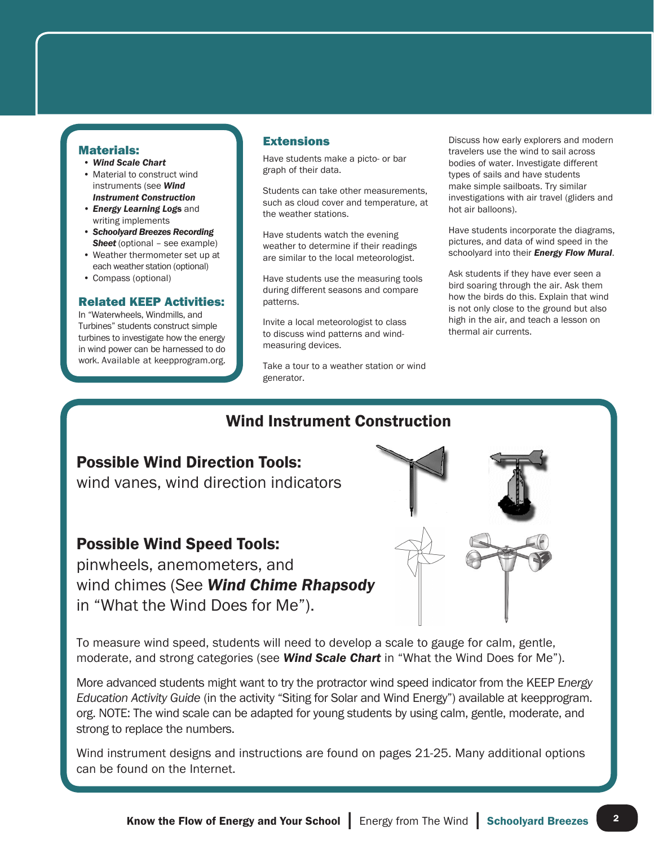#### Materials:

- *Wind Scale Chart*
- Material to construct wind instruments (see *Wind Instrument Construction*
- *Energy Learning Log*s and writing implements
- *Schoolyard Breezes Recording*  **Sheet** (optional – see example)
- Weather thermometer set up at each weather station (optional)
- Compass (optional)

#### Related KEEP Activities:

In "Waterwheels, Windmills, and Turbines" students construct simple turbines to investigate how the energy in wind power can be harnessed to do work. Available at keepprogram.org.

#### **Extensions**

Have students make a picto- or bar graph of their data.

Students can take other measurements, such as cloud cover and temperature, at the weather stations.

Have students watch the evening weather to determine if their readings are similar to the local meteorologist.

Have students use the measuring tools during different seasons and compare patterns.

Invite a local meteorologist to class to discuss wind patterns and windmeasuring devices.

Take a tour to a weather station or wind generator.

Discuss how early explorers and modern travelers use the wind to sail across bodies of water. Investigate different types of sails and have students make simple sailboats. Try similar investigations with air travel (gliders and hot air balloons).

Have students incorporate the diagrams, pictures, and data of wind speed in the schoolyard into their *Energy Flow Mural*.

Ask students if they have ever seen a bird soaring through the air. Ask them how the birds do this. Explain that wind is not only close to the ground but also high in the air, and teach a lesson on thermal air currents.

### Wind Instrument Construction

#### Possible Wind Direction Tools:

wind vanes, wind direction indicators

#### Possible Wind Speed Tools:

pinwheels, anemometers, and wind chimes (See *Wind Chime Rhapsody*  in "What the Wind Does for Me").

To measure wind speed, students will need to develop a scale to gauge for calm, gentle, moderate, and strong categories (see *Wind Scale Chart* in "What the Wind Does for Me").

More advanced students might want to try the protractor wind speed indicator from the KEEP E*nergy Education Activity Guide* (in the activity "Siting for Solar and Wind Energy") available at keepprogram. org. NOTE: The wind scale can be adapted for young students by using calm, gentle, moderate, and strong to replace the numbers.

Wind instrument designs and instructions are found on pages 21-25. Many additional options can be found on the Internet.

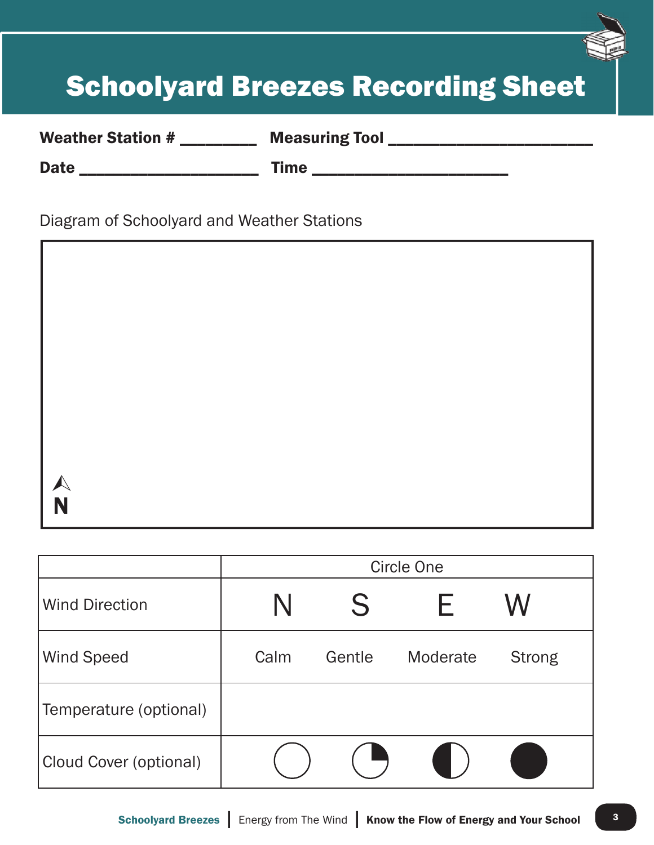# Schoolyard Breezes Recording Sheet

Weather Station # \_\_\_\_\_\_\_\_\_ Measuring Tool \_\_\_\_\_\_\_\_\_\_\_\_\_\_\_\_\_\_\_\_\_\_\_\_

Date \_\_\_\_\_\_\_\_\_\_\_\_\_\_\_\_\_\_\_\_\_ Time \_\_\_\_\_\_\_\_\_\_\_\_\_\_\_\_\_\_\_\_\_\_\_

Diagram of Schoolyard and Weather Stations

N  $\blacktriangle$ 

|                        | <b>Circle One</b> |        |          |               |
|------------------------|-------------------|--------|----------|---------------|
| <b>Wind Direction</b>  |                   | S      |          | W             |
| <b>Wind Speed</b>      | Calm              | Gentle | Moderate | <b>Strong</b> |
| Temperature (optional) |                   |        |          |               |
| Cloud Cover (optional) |                   |        |          |               |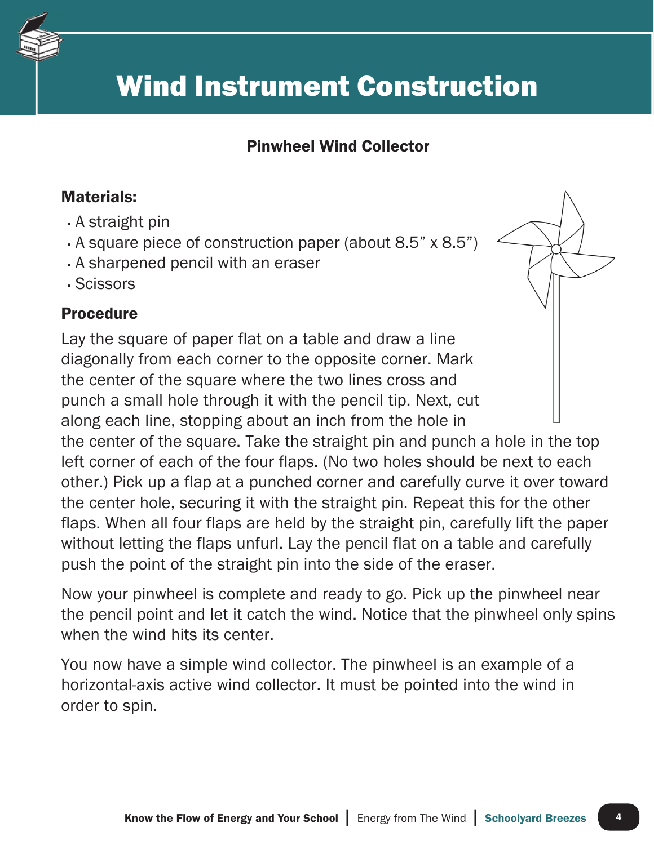

### Pinwheel Wind Collector

### Materials:

- A straight pin
- A square piece of construction paper (about 8.5" x 8.5")
- A sharpened pencil with an eraser
- Scissors

### Procedure

Lay the square of paper flat on a table and draw a line diagonally from each corner to the opposite corner. Mark the center of the square where the two lines cross and punch a small hole through it with the pencil tip. Next, cut along each line, stopping about an inch from the hole in the center of the square. Take the straight pin and punch a hole in the top left corner of each of the four flaps. (No two holes should be next to each other.) Pick up a flap at a punched corner and carefully curve it over toward the center hole, securing it with the straight pin. Repeat this for the other flaps. When all four flaps are held by the straight pin, carefully lift the paper without letting the flaps unfurl. Lay the pencil flat on a table and carefully push the point of the straight pin into the side of the eraser.

Now your pinwheel is complete and ready to go. Pick up the pinwheel near the pencil point and let it catch the wind. Notice that the pinwheel only spins when the wind hits its center.

You now have a simple wind collector. The pinwheel is an example of a horizontal-axis active wind collector. It must be pointed into the wind in order to spin.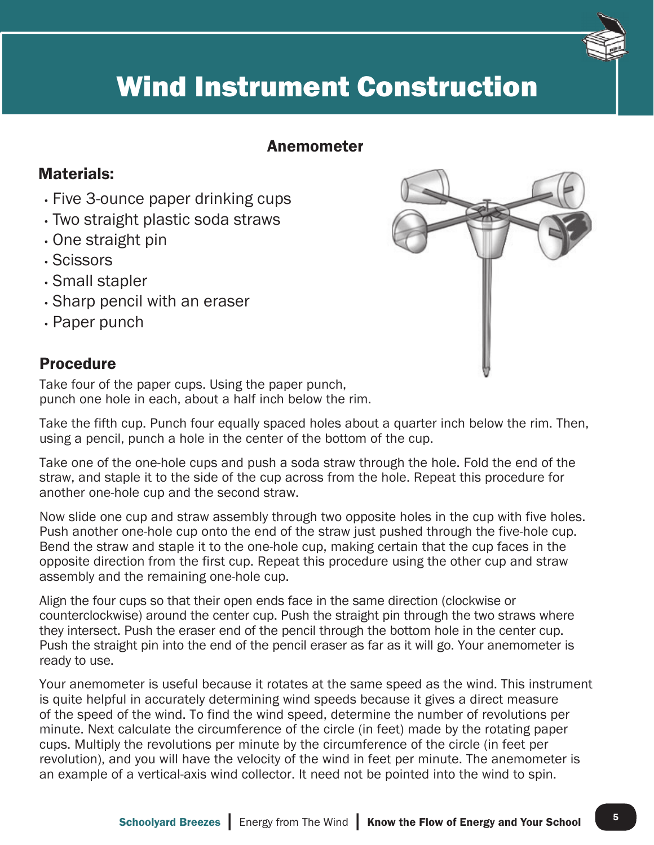

### Anemometer

### Materials:

- Five 3-ounce paper drinking cups
- Two straight plastic soda straws
- One straight pin
- Scissors
- Small stapler
- Sharp pencil with an eraser
- Paper punch

### **Procedure**

Take four of the paper cups. Using the paper punch, punch one hole in each, about a half inch below the rim.

Take the fifth cup. Punch four equally spaced holes about a quarter inch below the rim. Then, using a pencil, punch a hole in the center of the bottom of the cup.

Take one of the one-hole cups and push a soda straw through the hole. Fold the end of the straw, and staple it to the side of the cup across from the hole. Repeat this procedure for another one-hole cup and the second straw.

Now slide one cup and straw assembly through two opposite holes in the cup with five holes. Push another one-hole cup onto the end of the straw just pushed through the five-hole cup. Bend the straw and staple it to the one-hole cup, making certain that the cup faces in the opposite direction from the first cup. Repeat this procedure using the other cup and straw assembly and the remaining one-hole cup.

Align the four cups so that their open ends face in the same direction (clockwise or counterclockwise) around the center cup. Push the straight pin through the two straws where they intersect. Push the eraser end of the pencil through the bottom hole in the center cup. Push the straight pin into the end of the pencil eraser as far as it will go. Your anemometer is ready to use.

Your anemometer is useful because it rotates at the same speed as the wind. This instrument is quite helpful in accurately determining wind speeds because it gives a direct measure of the speed of the wind. To find the wind speed, determine the number of revolutions per minute. Next calculate the circumference of the circle (in feet) made by the rotating paper cups. Multiply the revolutions per minute by the circumference of the circle (in feet per revolution), and you will have the velocity of the wind in feet per minute. The anemometer is an example of a vertical-axis wind collector. It need not be pointed into the wind to spin.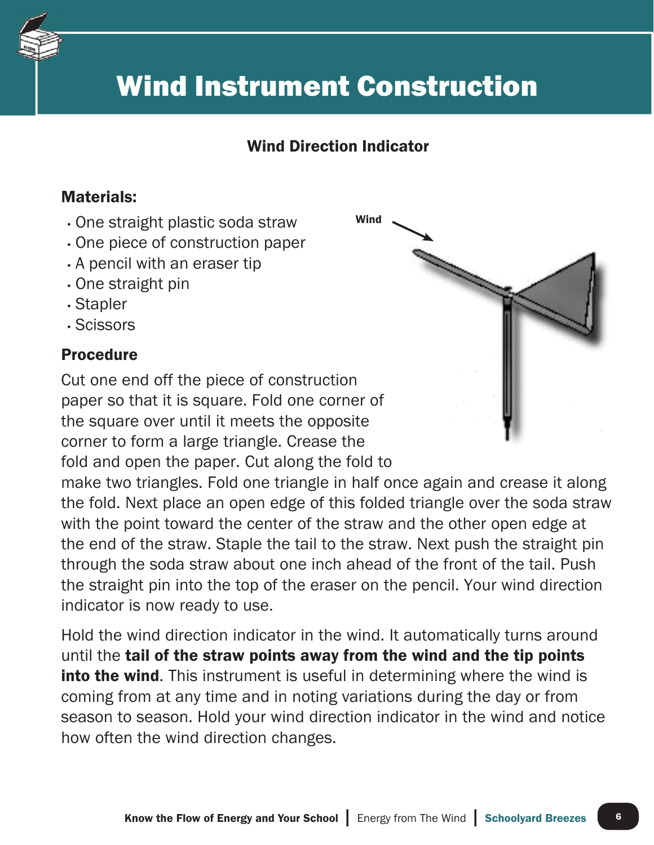

### Wind Direction Indicator

Wind

### Materials:

- One straight plastic soda straw
- One piece of construction paper
- A pencil with an eraser tip
- One straight pin
- Stapler
- Scissors

### **Procedure**

Cut one end off the piece of construction paper so that it is square. Fold one corner of the square over until it meets the opposite corner to form a large triangle. Crease the fold and open the paper. Cut along the fold to

make two triangles. Fold one triangle in half once again and crease it along the fold. Next place an open edge of this folded triangle over the soda straw with the point toward the center of the straw and the other open edge at the end of the straw. Staple the tail to the straw. Next push the straight pin through the soda straw about one inch ahead of the front of the tail. Push the straight pin into the top of the eraser on the pencil. Your wind direction indicator is now ready to use.

Hold the wind direction indicator in the wind. It automatically turns around until the tail of the straw points away from the wind and the tip points **into the wind.** This instrument is useful in determining where the wind is coming from at any time and in noting variations during the day or from season to season. Hold your wind direction indicator in the wind and notice how often the wind direction changes.

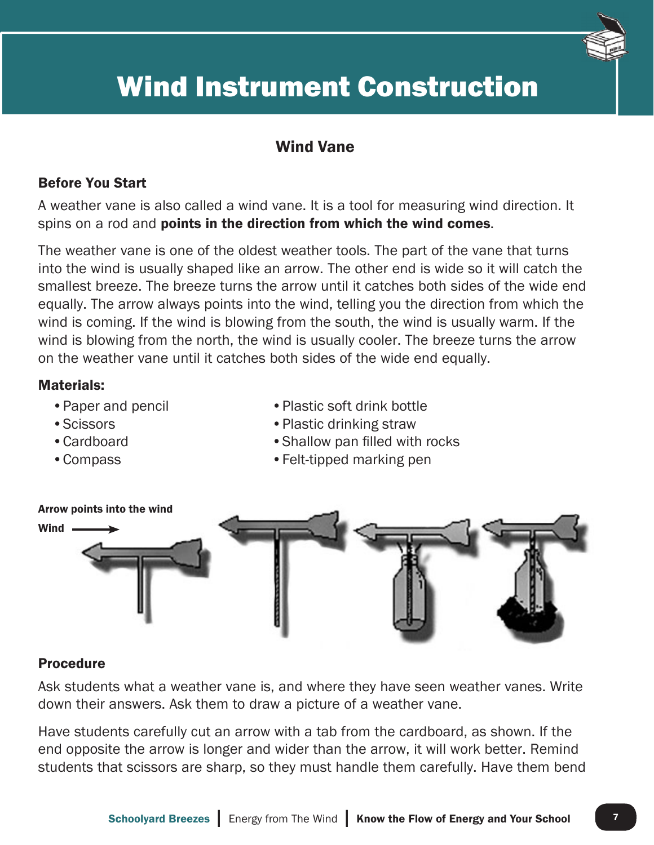

### Wind Vane

#### Before You Start

A weather vane is also called a wind vane. It is a tool for measuring wind direction. It spins on a rod and **points in the direction from which the wind comes.** 

The weather vane is one of the oldest weather tools. The part of the vane that turns into the wind is usually shaped like an arrow. The other end is wide so it will catch the smallest breeze. The breeze turns the arrow until it catches both sides of the wide end equally. The arrow always points into the wind, telling you the direction from which the wind is coming. If the wind is blowing from the south, the wind is usually warm. If the wind is blowing from the north, the wind is usually cooler. The breeze turns the arrow on the weather vane until it catches both sides of the wide end equally.

#### Materials:

- Paper and pencil
- Scissors
- Cardboard
- Compass
- Plastic soft drink bottle
- Plastic drinking straw
- Shallow pan filled with rocks
- Felt-tipped marking pen



#### Procedure

Ask students what a weather vane is, and where they have seen weather vanes. Write down their answers. Ask them to draw a picture of a weather vane.

Have students carefully cut an arrow with a tab from the cardboard, as shown. If the end opposite the arrow is longer and wider than the arrow, it will work better. Remind students that scissors are sharp, so they must handle them carefully. Have them bend